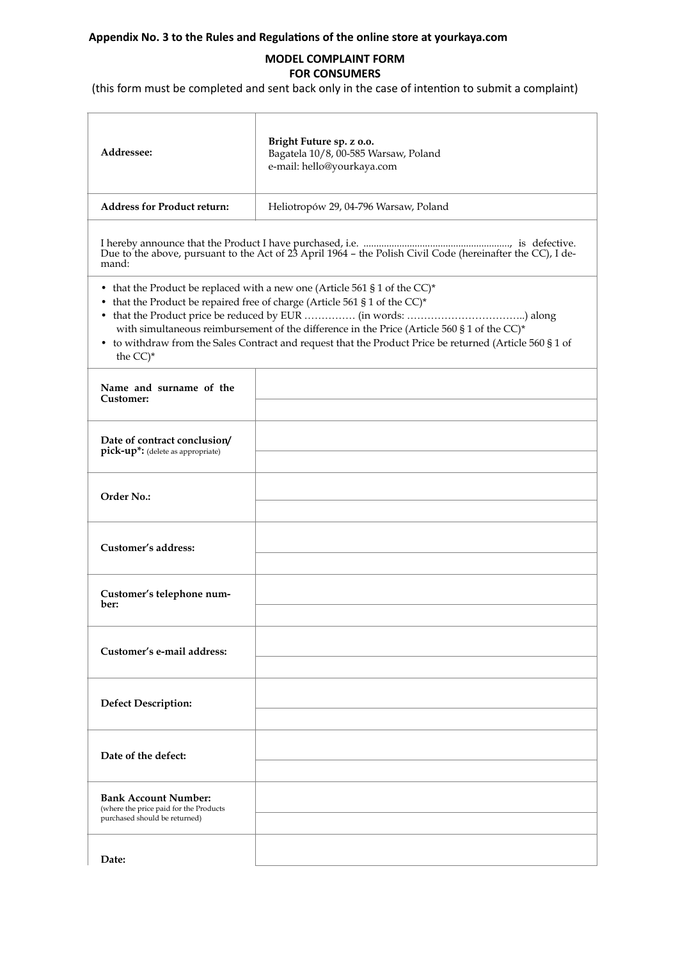## **Appendix No. 3 to the Rules and Regulations of the online store at yourkaya.com**

## **MODEL COMPLAINT FORM FOR CONSUMERS**

(this form must be completed and sent back only in the case of intention to submit a complaint)

| Addressee:                                                                                                                                                                                                                                                                                                                                                                                   | Bright Future sp. z o.o.<br>Bagatela 10/8, 00-585 Warsaw, Poland<br>e-mail: hello@yourkaya.com |
|----------------------------------------------------------------------------------------------------------------------------------------------------------------------------------------------------------------------------------------------------------------------------------------------------------------------------------------------------------------------------------------------|------------------------------------------------------------------------------------------------|
| <b>Address for Product return:</b>                                                                                                                                                                                                                                                                                                                                                           | Heliotropów 29, 04-796 Warsaw, Poland                                                          |
| mand:                                                                                                                                                                                                                                                                                                                                                                                        |                                                                                                |
| • that the Product be replaced with a new one (Article 561 § 1 of the CC)*<br>• that the Product be repaired free of charge (Article 561 § 1 of the CC)*<br>with simultaneous reimbursement of the difference in the Price (Article 560 § 1 of the CC)*<br>• to withdraw from the Sales Contract and request that the Product Price be returned (Article 560 § 1 of<br>the $CC$ <sup>*</sup> |                                                                                                |
| Name and surname of the<br>Customer:                                                                                                                                                                                                                                                                                                                                                         |                                                                                                |
| Date of contract conclusion/<br>pick-up*: (delete as appropriate)                                                                                                                                                                                                                                                                                                                            |                                                                                                |
| Order No.:                                                                                                                                                                                                                                                                                                                                                                                   |                                                                                                |
| Customer's address:                                                                                                                                                                                                                                                                                                                                                                          |                                                                                                |
| Customer's telephone num-<br>ber:                                                                                                                                                                                                                                                                                                                                                            |                                                                                                |
| Customer's e-mail address:                                                                                                                                                                                                                                                                                                                                                                   |                                                                                                |
| <b>Defect Description:</b>                                                                                                                                                                                                                                                                                                                                                                   |                                                                                                |
| Date of the defect:                                                                                                                                                                                                                                                                                                                                                                          |                                                                                                |
| <b>Bank Account Number:</b><br>(where the price paid for the Products<br>purchased should be returned)                                                                                                                                                                                                                                                                                       |                                                                                                |
| Date:                                                                                                                                                                                                                                                                                                                                                                                        |                                                                                                |